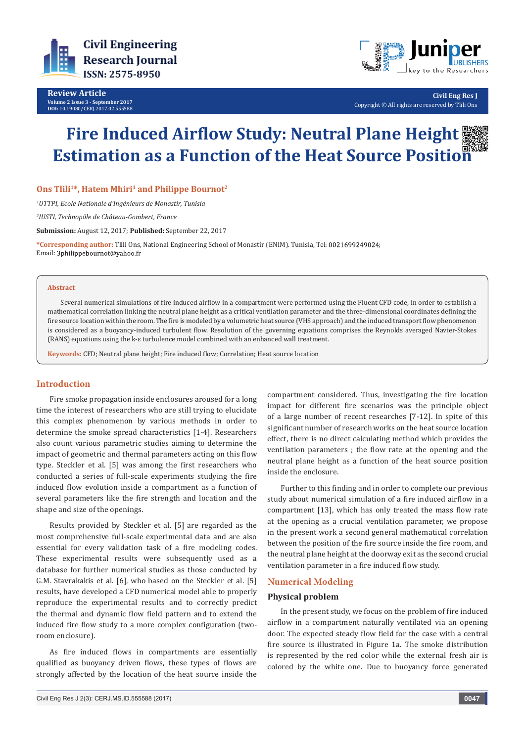

**Review Article Volume 2 Issue 3 - September 2017 DOI:** [10.19080/CERJ.2017.02.555588](http://dx.doi.org/10.19080/CERJ.2017.02.555588
)



**Civil Eng Res J** Copyright © All rights are reserved by Tlili Ons

# **Fire Induced Airflow Study: Neutral Plane Height Estimation as a Function of the Heat Source Position**

## **Ons Tlili1\*, Hatem Mhiri<sup>1</sup> and Philippe Bournot<sup>2</sup>**

*1 UTTPI, Ecole Nationale d'Ingénieurs de Monastir, Tunisia*

*2 IUSTI, Technopôle de Château-Gombert, France*

**Submission:** August 12, 2017; **Published:** September 22, 2017

**\*Corresponding author:** Tlili Ons, National Engineering School of Monastir (ENIM). Tunisia, Tel: ; Email: 3philippebournot@yahoo.fr

#### **Abstract**

Several numerical simulations of fire induced airflow in a compartment were performed using the Fluent CFD code, in order to establish a mathematical correlation linking the neutral plane height as a critical ventilation parameter and the three-dimensional coordinates defining the fire source location within the room. The fire is modeled by a volumetric heat source (VHS approach) and the induced transport flow phenomenon is considered as a buoyancy-induced turbulent flow. Resolution of the governing equations comprises the Reynolds averaged Navier-Stokes (RANS) equations using the k-ɛ turbulence model combined with an enhanced wall treatment.

**Keywords:** CFD; Neutral plane height; Fire induced flow; Correlation; Heat source location

#### **Introduction**

Fire smoke propagation inside enclosures aroused for a long time the interest of researchers who are still trying to elucidate this complex phenomenon by various methods in order to determine the smoke spread characteristics [1-4]. Researchers also count various parametric studies aiming to determine the impact of geometric and thermal parameters acting on this flow type. Steckler et al. [5] was among the first researchers who conducted a series of full-scale experiments studying the fire induced flow evolution inside a compartment as a function of several parameters like the fire strength and location and the shape and size of the openings.

Results provided by Steckler et al. [5] are regarded as the most comprehensive full-scale experimental data and are also essential for every validation task of a fire modeling codes. These experimental results were subsequently used as a database for further numerical studies as those conducted by G.M. Stavrakakis et al. [6], who based on the Steckler et al. [5] results, have developed a CFD numerical model able to properly reproduce the experimental results and to correctly predict the thermal and dynamic flow field pattern and to extend the induced fire flow study to a more complex configuration (tworoom enclosure).

As fire induced flows in compartments are essentially qualified as buoyancy driven flows, these types of flows are strongly affected by the location of the heat source inside the

compartment considered. Thus, investigating the fire location impact for different fire scenarios was the principle object of a large number of recent researches [7-12]. In spite of this significant number of research works on the heat source location effect, there is no direct calculating method which provides the ventilation parameters ; the flow rate at the opening and the neutral plane height as a function of the heat source position inside the enclosure.

Further to this finding and in order to complete our previous study about numerical simulation of a fire induced airflow in a compartment [13], which has only treated the mass flow rate at the opening as a crucial ventilation parameter, we propose in the present work a second general mathematical correlation between the position of the fire source inside the fire room, and the neutral plane height at the doorway exit as the second crucial ventilation parameter in a fire induced flow study.

## **Numerical Modeling**

#### **Physical problem**

In the present study, we focus on the problem of fire induced airflow in a compartment naturally ventilated via an opening door. The expected steady flow field for the case with a central fire source is illustrated in Figure 1a. The smoke distribution is represented by the red color while the external fresh air is colored by the white one. Due to buoyancy force generated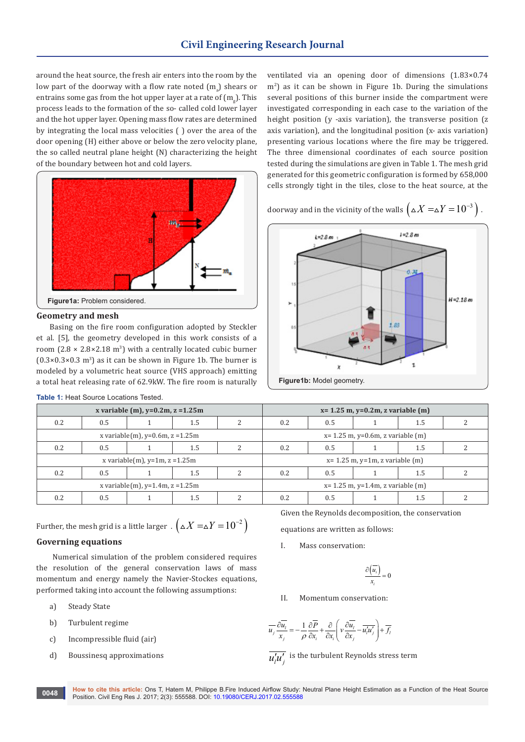around the heat source, the fresh air enters into the room by the low part of the doorway with a flow rate noted  $\rm (m_{\rm a})$  shears or entrains some gas from the hot upper layer at a rate of  $\rm (m_{_{g}}).$  This process leads to the formation of the so- called cold lower layer and the hot upper layer. Opening mass flow rates are determined by integrating the local mass velocities ( ) over the area of the door opening (H) either above or below the zero velocity plane, the so called neutral plane height (N) characterizing the height of the boundary between hot and cold layers.



#### **Geometry and mesh**

Basing on the fire room configuration adopted by Steckler et al. [5], the geometry developed in this work consists of a room  $(2.8 \times 2.8 \times 2.18 \text{ m}^3)$  with a centrally located cubic burner  $(0.3 \times 0.3 \times 0.3 \text{ m}^3)$  as it can be shown in Figure 1b. The burner is modeled by a volumetric heat source (VHS approach) emitting a total heat releasing rate of 62.9kW. The fire room is naturally

| x variable (m), $y=0.2m$ , $z=1.25m$ |     |  |     |                                         | $x = 1.25$ m, $y = 0.2$ m, z variable (m) |     |  |     |  |
|--------------------------------------|-----|--|-----|-----------------------------------------|-------------------------------------------|-----|--|-----|--|
| $0.2^{\circ}$                        | 0.5 |  | 1.5 |                                         | 0.2                                       | 0.5 |  | 1.5 |  |
| x variable(m), $y=0.6$ m, $z=1.25$ m |     |  |     | $x = 1.25$ m, $y=0.6$ m, z variable (m) |                                           |     |  |     |  |
| $0.2^{\circ}$                        | 0.5 |  | 1.5 |                                         | 0.2                                       | 0.5 |  | 1.5 |  |
| x variable(m), $y=1m$ , $z=1.25m$    |     |  |     |                                         | $x=1.25$ m, $y=1$ m, z variable (m)       |     |  |     |  |
| $0.2^{\circ}$                        | 0.5 |  | 1.5 |                                         | 0.2                                       | 0.5 |  | 1.5 |  |
| x variable(m), $y=1.4$ m, $z=1.25$ m |     |  |     |                                         | $x = 1.25$ m, $y = 1.4$ m, z variable (m) |     |  |     |  |
| 0.2                                  | 0.5 |  | 1.5 |                                         | 0.2                                       | 0.5 |  | 1.5 |  |

|  | <b>Table 1: Heat Source Locations Tested.</b> |  |
|--|-----------------------------------------------|--|
|  |                                               |  |

Further, the mesh grid is a little larger  $\left( \Delta X = \Delta Y = 10^{-2} \right)$ 

#### **Governing equations**

 Numerical simulation of the problem considered requires the resolution of the general conservation laws of mass momentum and energy namely the Navier-Stockes equations, performed taking into account the following assumptions:

- a) Steady State
- b) Turbulent regime
- c) Incompressible fluid (air)
- d) Boussinesq approximations

Given the Reynolds decomposition, the conservation

equations are written as follows:

I. Mass conservation:

$$
\frac{\partial \left(\overline{u_i}\right)}{x_i} = 0
$$

II. Momentum conservation:

$$
\overline{u_j}\frac{\partial \overline{u_i}}{x_j} = -\frac{1}{\rho}\frac{\partial \overline{P}}{\partial x_i} + \frac{\partial}{\partial x_i}\left(v\frac{\partial \overline{u_i}}{\partial x_j} - \overline{u_i'u_j'}\right) + \overline{f_i}
$$

 $u'_i\overline{u'_i}$  is the turbulent Reynolds stress term

ventilated via an opening door of dimensions (1.83×0.74 m<sup>2</sup> ) as it can be shown in Figure 1b. During the simulations several positions of this burner inside the compartment were investigated corresponding in each case to the variation of the height position (y -axis variation), the transverse position (z axis variation), and the longitudinal position (x- axis variation) presenting various locations where the fire may be triggered. The three dimensional coordinates of each source position tested during the simulations are given in Table 1. The mesh grid generated for this geometric configuration is formed by 658,000 cells strongly tight in the tiles, close to the heat source, at the

doorway and in the vicinity of the walls  $(A X = \Delta Y = 10^{-3})$ .

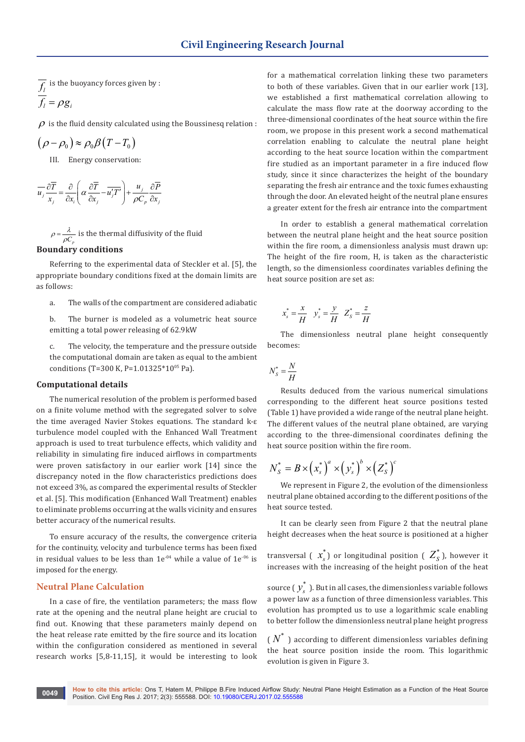$f_l$  is the buoyancy forces given by :  $f_i = \rho g_i$ 

 $\rho$  is the fluid density calculated using the Boussinesa relation :

$$
(\rho - \rho_0) \approx \rho_0 \beta (T - T_0)
$$

III. Energy conservation:

$$
\overline{u_j} \frac{\partial \overline{T}}{x_j} = \frac{\partial}{\partial x_i} \left( \alpha \frac{\partial \overline{T}}{\partial x_j} - \overline{u'_j T'} \right) + \frac{u_j}{\rho C_p} \frac{\partial \overline{P}}{\partial x_j}
$$

 $C_p^{}$  $\rho = \frac{\lambda}{\rho C_n}$  is the thermal diffusivity of the fluid **Boundary conditions**

Referring to the experimental data of Steckler et al. [5], the appropriate boundary conditions fixed at the domain limits are as follows:

- a. The walls of the compartment are considered adiabatic
- b. The burner is modeled as a volumetric heat source emitting a total power releasing of 62.9kW
- c. The velocity, the temperature and the pressure outside the computational domain are taken as equal to the ambient conditions (T=300 K, P=1.01325\*10<sup>05</sup> Pa).

#### **Computational details**

The numerical resolution of the problem is performed based on a finite volume method with the segregated solver to solve the time averaged Navier Stokes equations. The standard k-ε turbulence model coupled with the Enhanced Wall Treatment approach is used to treat turbulence effects, which validity and reliability in simulating fire induced airflows in compartments were proven satisfactory in our earlier work [14] since the discrepancy noted in the flow characteristics predictions does not exceed 3%, as compared the experimental results of Steckler et al. [5]. This modification (Enhanced Wall Treatment) enables to eliminate problems occurring at the walls vicinity and ensures better accuracy of the numerical results.

To ensure accuracy of the results, the convergence criteria for the continuity, velocity and turbulence terms has been fixed in residual values to be less than  $1e^{-0.4}$  while a value of  $1e^{-0.6}$  is imposed for the energy.

#### **Neutral Plane Calculation**

In a case of fire, the ventilation parameters; the mass flow rate at the opening and the neutral plane height are crucial to find out. Knowing that these parameters mainly depend on the heat release rate emitted by the fire source and its location within the configuration considered as mentioned in several research works [5,8-11,15], it would be interesting to look for a mathematical correlation linking these two parameters to both of these variables. Given that in our earlier work [13], we established a first mathematical correlation allowing to calculate the mass flow rate at the doorway according to the three-dimensional coordinates of the heat source within the fire room, we propose in this present work a second mathematical correlation enabling to calculate the neutral plane height according to the heat source location within the compartment fire studied as an important parameter in a fire induced flow study, since it since characterizes the height of the boundary separating the fresh air entrance and the toxic fumes exhausting through the door. An elevated height of the neutral plane ensures a greater extent for the fresh air entrance into the compartment

In order to establish a general mathematical correlation between the neutral plane height and the heat source position within the fire room, a dimensionless analysis must drawn up: The height of the fire room, H, is taken as the characteristic length, so the dimensionless coordinates variables defining the heat source position are set as:

$$
x_s^* = \frac{x}{H} \quad y_s^* = \frac{y}{H} \quad Z_s^* = \frac{z}{H}
$$

The dimensionless neutral plane height consequently becomes:

$$
N_s^* = \frac{N}{H}
$$

Results deduced from the various numerical simulations corresponding to the different heat source positions tested (Table 1) have provided a wide range of the neutral plane height. The different values of the neutral plane obtained, are varying according to the three-dimensional coordinates defining the heat source position within the fire room.

$$
N_{S}^{*}=B\times\left(x_{S}^{*}\right)^{a}\times\left(y_{S}^{*}\right)^{b}\times\left(Z_{S}^{*}\right)^{c}
$$

We represent in Figure 2, the evolution of the dimensionless neutral plane obtained according to the different positions of the heat source tested.

It can be clearly seen from Figure 2 that the neutral plane height decreases when the heat source is positioned at a higher

transversal (  $x^*_s$  ) or longitudinal position (  $Z^*_S$  ), however it increases with the increasing of the height position of the heat

source (  $y_{s}^{\ast}$  ). But in all cases, the dimensionless variable follows a power law as a function of three dimensionless variables. This evolution has prompted us to use a logarithmic scale enabling to better follow the dimensionless neutral plane height progress

 $(N^*)$  according to different dimensionless variables defining the heat source position inside the room. This logarithmic evolution is given in Figure 3.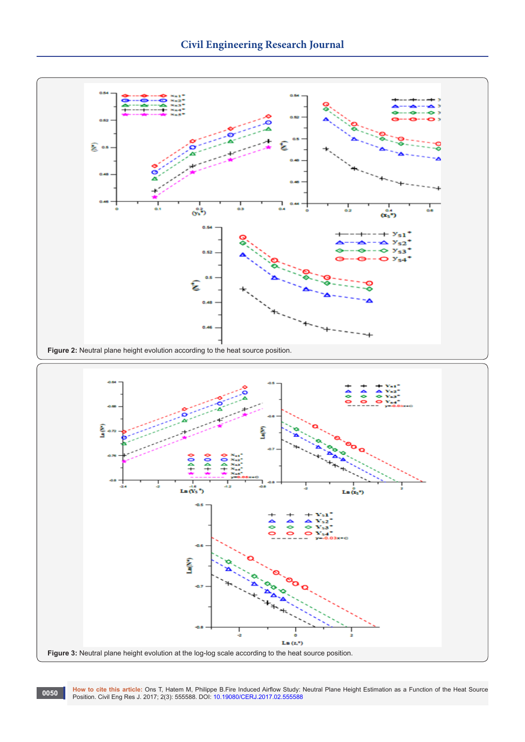

10050 How to cite this article: Ons T, Hatem M, Philippe B.Fire Induced Airflow Study: Neutral Plane Height Estimation as a Function of the Heat Source<br>Position. Civil Eng Res J. 2017; 2(3): 555588. DOI: 10.19080/CERJ.2017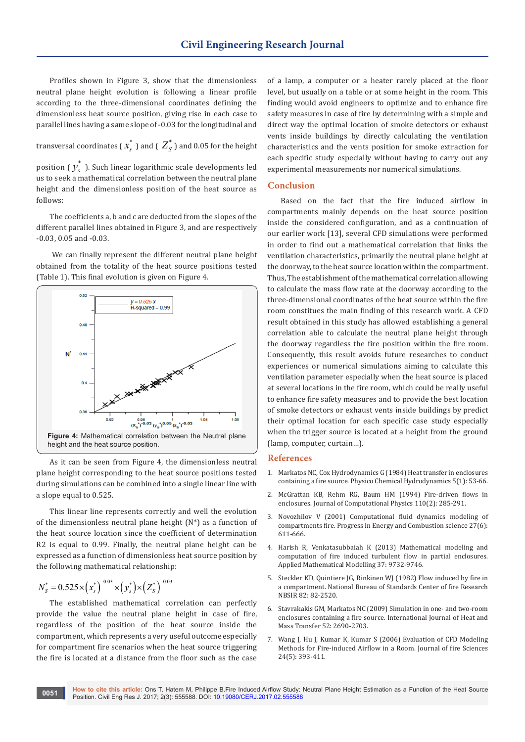Profiles shown in Figure 3, show that the dimensionless neutral plane height evolution is following a linear profile according to the three-dimensional coordinates defining the dimensionless heat source position, giving rise in each case to parallel lines having a same slope of -0.03 for the longitudinal and

transversal coordinates (  $\boldsymbol{x}_s^*$  ) and (  $\boldsymbol{Z}_S^*$  ) and 0.05 for the height

position (  $y_{s}^{\ast}$  ). Such linear logarithmic scale developments led us to seek a mathematical correlation between the neutral plane height and the dimensionless position of the heat source as follows:

The coefficients a, b and c are deducted from the slopes of the different parallel lines obtained in Figure 3, and are respectively -0.03, 0.05 and -0.03.

 We can finally represent the different neutral plane height obtained from the totality of the heat source positions tested (Table 1). This final evolution is given on Figure 4.



As it can be seen from Figure 4, the dimensionless neutral plane height corresponding to the heat source positions tested during simulations can be combined into a single linear line with a slope equal to 0.525.

This linear line represents correctly and well the evolution of the dimensionless neutral plane height (N\*) as a function of the heat source location since the coefficient of determination R2 is equal to 0.99. Finally, the neutral plane height can be expressed as a function of dimensionless heat source position by the following mathematical relationship:

$$
N_{S}^{*} = 0.525 \times (x_{S}^{*})^{-0.03} \times (y_{S}^{*}) \times (Z_{S}^{*})^{-0.03}
$$

The established mathematical correlation can perfectly provide the value the neutral plane height in case of fire, regardless of the position of the heat source inside the compartment, which represents a very useful outcome especially for compartment fire scenarios when the heat source triggering the fire is located at a distance from the floor such as the case

of a lamp, a computer or a heater rarely placed at the floor level, but usually on a table or at some height in the room. This finding would avoid engineers to optimize and to enhance fire safety measures in case of fire by determining with a simple and direct way the optimal location of smoke detectors or exhaust vents inside buildings by directly calculating the ventilation characteristics and the vents position for smoke extraction for each specific study especially without having to carry out any experimental measurements nor numerical simulations.

#### **Conclusion**

Based on the fact that the fire induced airflow in compartments mainly depends on the heat source position inside the considered configuration, and as a continuation of our earlier work [13], several CFD simulations were performed in order to find out a mathematical correlation that links the ventilation characteristics, primarily the neutral plane height at the doorway, to the heat source location within the compartment. Thus, The establishment of the mathematical correlation allowing to calculate the mass flow rate at the doorway according to the three-dimensional coordinates of the heat source within the fire room constitues the main finding of this research work. A CFD result obtained in this study has allowed establishing a general correlation able to calculate the neutral plane height through the doorway regardless the fire position within the fire room. Consequently, this result avoids future researches to conduct experiences or numerical simulations aiming to calculate this ventilation parameter especially when the heat source is placed at several locations in the fire room, which could be really useful to enhance fire safety measures and to provide the best location of smoke detectors or exhaust vents inside buildings by predict their optimal location for each specific case study especially when the trigger source is located at a height from the ground (lamp, computer, curtain…).

#### **References**

- 1. Markatos NC, Cox Hydrodynamics G (1984) Heat transfer in enclosures containing a fire source. Physico Chemical Hydrodynamics 5(1): 53-66.
- 2. [McGrattan KB, Rehm RG, Baum HM \(1994\) Fire-driven flows in](http://www.sciencedirect.com/science/article/pii/S0021999184710254)  [enclosures. Journal of Computational Physics 110\(2\): 285-291.](http://www.sciencedirect.com/science/article/pii/S0021999184710254)
- 3. Novozhilov V (2001) Computational fluid dynamics modeling of compartments fire. Progress in Energy and Combustion science 27(6): 611-666.
- 4. [Harish R, Venkatasubbaiah K \(2013\) Mathematical modeling and](http://www.sciencedirect.com/science/article/pii/S0307904X13003326)  [computation of fire induced turbulent flow in partial enclosures.](http://www.sciencedirect.com/science/article/pii/S0307904X13003326)  [Applied Mathematical Modelling 37: 9732-9746.](http://www.sciencedirect.com/science/article/pii/S0307904X13003326)
- 5. [Steckler KD, Quintiere JG, Rinkinen WJ \(1982\) Flow induced by fire in](http://adsabs.harvard.edu/abs/1982STIN...8319965S)  [a compartment. National Bureau of Standards Center of fire Research](http://adsabs.harvard.edu/abs/1982STIN...8319965S)  [NBSIR 82: 82-2520.](http://adsabs.harvard.edu/abs/1982STIN...8319965S)
- 6. [Stavrakakis GM, Markatos NC \(2009\) Simulation in one- and two-room](http://cat.inist.fr/?aModele=afficheN&cpsidt=21375285)  [enclosures containing a fire source. International Journal of Heat and](http://cat.inist.fr/?aModele=afficheN&cpsidt=21375285)  [Mass Transfer 52: 2690-2703.](http://cat.inist.fr/?aModele=afficheN&cpsidt=21375285)
- 7. [Wang J, Hu J, Kumar K, Kumar S \(2006\) Evaluation of CFD Modeling](https://firedoc.nist.gov/article/AVoZ1N485tyd0g1lPzJD)  [Methods for Fire-induced Airflow in a Room. Journal of fire Sciences](https://firedoc.nist.gov/article/AVoZ1N485tyd0g1lPzJD)  [24\(5\): 393-411.](https://firedoc.nist.gov/article/AVoZ1N485tyd0g1lPzJD)